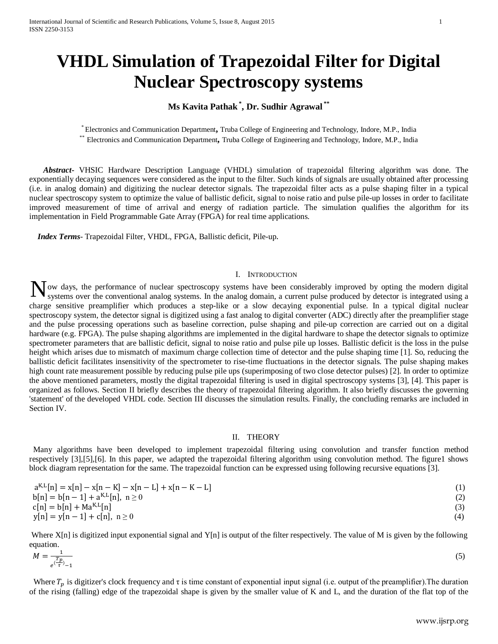# **VHDL Simulation of Trapezoidal Filter for Digital Nuclear Spectroscopy systems**

# **Ms Kavita Pathak \* , Dr. Sudhir Agrawal \*\***

\* Electronics and Communication Department**,** Truba College of Engineering and Technology, Indore, M.P., India \*\* Electronics and Communication Department**,** Truba College of Engineering and Technology, Indore, M.P., India

 *Abstract***-** VHSIC Hardware Description Language (VHDL) simulation of trapezoidal filtering algorithm was done. The exponentially decaying sequences were considered as the input to the filter. Such kinds of signals are usually obtained after processing (i.e. in analog domain) and digitizing the nuclear detector signals. The trapezoidal filter acts as a pulse shaping filter in a typical nuclear spectroscopy system to optimize the value of ballistic deficit, signal to noise ratio and pulse pile-up losses in order to facilitate improved measurement of time of arrival and energy of radiation particle. The simulation qualifies the algorithm for its implementation in Field Programmable Gate Array (FPGA) for real time applications.

 *Index Terms*- Trapezoidal Filter, VHDL, FPGA, Ballistic deficit, Pile-up.

# I. INTRODUCTION

Now days, the performance of nuclear spectroscopy systems have been considerably improved by opting the modern digital systems over the conventional analog systems. In the analog domain, a current pulse produced by detecto systems over the conventional analog systems. In the analog domain, a current pulse produced by detector is integrated using a charge sensitive preamplifier which produces a step-like or a slow decaying exponential pulse. In a typical digital nuclear spectroscopy system, the detector signal is digitized using a fast analog to digital converter (ADC) directly after the preamplifier stage and the pulse processing operations such as baseline correction, pulse shaping and pile-up correction are carried out on a digital hardware (e.g. FPGA). The pulse shaping algorithms are implemented in the digital hardware to shape the detector signals to optimize spectrometer parameters that are ballistic deficit, signal to noise ratio and pulse pile up losses. Ballistic deficit is the loss in the pulse height which arises due to mismatch of maximum charge collection time of detector and the pulse shaping time [1]. So, reducing the ballistic deficit facilitates insensitivity of the spectrometer to rise-time fluctuations in the detector signals. The pulse shaping makes high count rate measurement possible by reducing pulse pile ups (superimposing of two close detector pulses) [2]. In order to optimize the above mentioned parameters, mostly the digital trapezoidal filtering is used in digital spectroscopy systems [3], [4]. This paper is organized as follows. Section II briefly describes the theory of trapezoidal filtering algorithm. It also briefly discusses the governing 'statement' of the developed VHDL code. Section III discusses the simulation results. Finally, the concluding remarks are included in Section IV.

# II. THEORY

 Many algorithms have been developed to implement trapezoidal filtering using convolution and transfer function method respectively [3],[5],[6]. In this paper, we adapted the trapezoidal filtering algorithm using convolution method. The figure1 shows block diagram representation for the same. The trapezoidal function can be expressed using following recursive equations [3].

| $a^{K,L}[n] = x[n] - x[n - K] - x[n - L] + x[n - K - L]$ |     |
|----------------------------------------------------------|-----|
| $b[n] = b[n-1] + a^{K,L}[n], n \ge 0$                    | (2) |
| $c[n] = b[n] + Ma^{K,L}[n]$                              |     |
| $y[n] = y[n-1] + c[n], n \ge 0$                          |     |

Where  $X[n]$  is digitized input exponential signal and  $Y[n]$  is output of the filter respectively. The value of M is given by the following equation.

$$
M = \frac{1}{e^{\frac{T_p}{\tau}} - 1} \tag{5}
$$

Where  $T_p$  is digitizer's clock frequency and  $\tau$  is time constant of exponential input signal (i.e. output of the preamplifier). The duration of the rising (falling) edge of the trapezoidal shape is given by the smaller value of K and L, and the duration of the flat top of the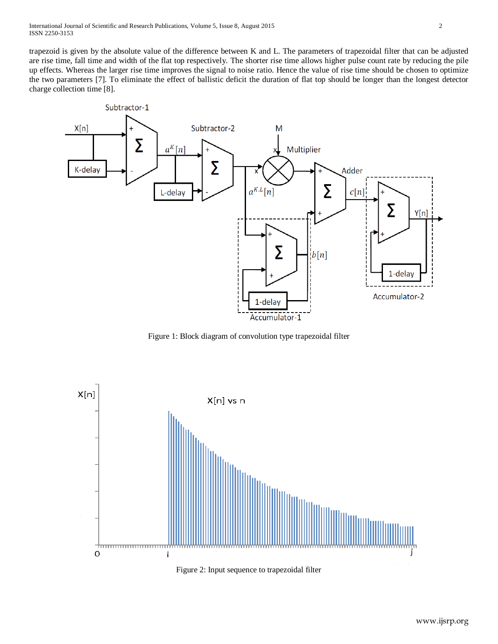trapezoid is given by the absolute value of the difference between K and L. The parameters of trapezoidal filter that can be adjusted are rise time, fall time and width of the flat top respectively. The shorter rise time allows higher pulse count rate by reducing the pile up effects. Whereas the larger rise time improves the signal to noise ratio. Hence the value of rise time should be chosen to optimize the two parameters [7]. To eliminate the effect of ballistic deficit the duration of flat top should be longer than the longest detector charge collection time [8].



Figure 1: Block diagram of convolution type trapezoidal filter



Figure 2: Input sequence to trapezoidal filter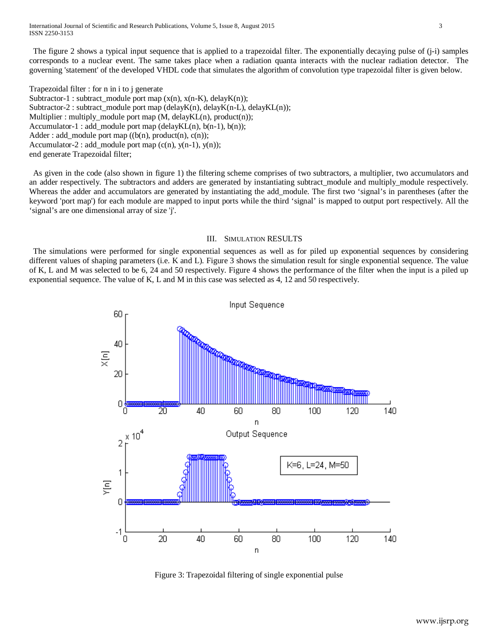International Journal of Scientific and Research Publications, Volume 5, Issue 8, August 2015 3 ISSN 2250-3153

 The figure 2 shows a typical input sequence that is applied to a trapezoidal filter. The exponentially decaying pulse of (j-i) samples corresponds to a nuclear event. The same takes place when a radiation quanta interacts with the nuclear radiation detector. The governing 'statement' of the developed VHDL code that simulates the algorithm of convolution type trapezoidal filter is given below.

Trapezoidal filter : for n in i to j generate Subtractor-1 : subtract\_module port map  $(x(n), x(n-K),$  delay $K(n)$ ); Subtractor-2 : subtract\_module port map (delayK(n), delayK(n-L), delayKL(n)); Multiplier : multiply\_module port map (M, delayKL(n), product(n)); Accumulator-1 : add\_module port map (delayKL(n),  $b(n-1)$ ,  $b(n)$ ); Adder : add\_module port map  $((b(n), product(n), c(n));$ Accumulator-2 : add\_module port map  $(c(n), y(n-1), y(n))$ ; end generate Trapezoidal filter;

 As given in the code (also shown in figure 1) the filtering scheme comprises of two subtractors, a multiplier, two accumulators and an adder respectively. The subtractors and adders are generated by instantiating subtract\_module and multiply\_module respectively. Whereas the adder and accumulators are generated by instantiating the add\_module. The first two 'signal's in parentheses (after the keyword 'port map') for each module are mapped to input ports while the third 'signal' is mapped to output port respectively. All the 'signal's are one dimensional array of size 'j'.

#### III. SIMULATION RESULTS

 The simulations were performed for single exponential sequences as well as for piled up exponential sequences by considering different values of shaping parameters (i.e. K and L). Figure 3 shows the simulation result for single exponential sequence. The value of K, L and M was selected to be 6, 24 and 50 respectively. Figure 4 shows the performance of the filter when the input is a piled up exponential sequence. The value of K, L and M in this case was selected as 4, 12 and 50 respectively.



Figure 3: Trapezoidal filtering of single exponential pulse